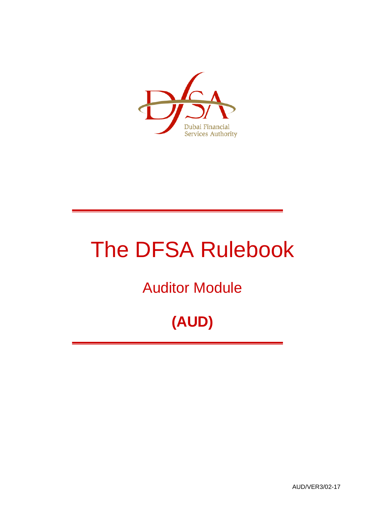

# The DFSA Rulebook

## Auditor Module

## **(AUD)**

AUD/VER3/02-17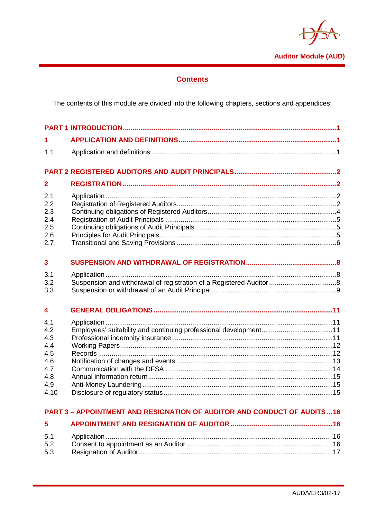

## **Contents**

The contents of this module are divided into the following chapters, sections and appendices:

| 1.                                                                  |                                                                                |  |
|---------------------------------------------------------------------|--------------------------------------------------------------------------------|--|
| 1.1                                                                 |                                                                                |  |
|                                                                     |                                                                                |  |
| $\overline{2}$                                                      |                                                                                |  |
| 2.1<br>2.2<br>2.3<br>2.4<br>2.5<br>2.6<br>2.7                       |                                                                                |  |
| $\mathbf{3}$                                                        |                                                                                |  |
| 3.1<br>3.2<br>3.3                                                   |                                                                                |  |
| 4                                                                   |                                                                                |  |
| 4.1<br>4.2<br>4.3<br>4.4<br>4.5<br>4.6<br>4.7<br>4.8<br>4.9<br>4.10 | Employees' suitability and continuing professional development11               |  |
|                                                                     | <b>PART 3 - APPOINTMENT AND RESIGNATION OF AUDITOR AND CONDUCT OF AUDITS16</b> |  |
| 5                                                                   |                                                                                |  |
| 5.1                                                                 |                                                                                |  |

 $5.2$  $5.\overline{3}$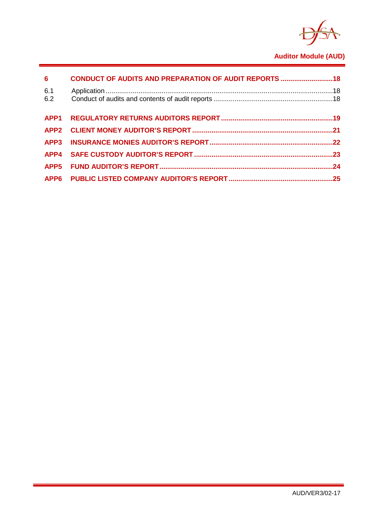

## **Auditor Module (AUD)**

| $6\overline{6}$ | CONDUCT OF AUDITS AND PREPARATION OF AUDIT REPORTS  18 |  |
|-----------------|--------------------------------------------------------|--|
| 6.1<br>6.2      |                                                        |  |
|                 |                                                        |  |
|                 |                                                        |  |
|                 |                                                        |  |
|                 |                                                        |  |
|                 |                                                        |  |
|                 |                                                        |  |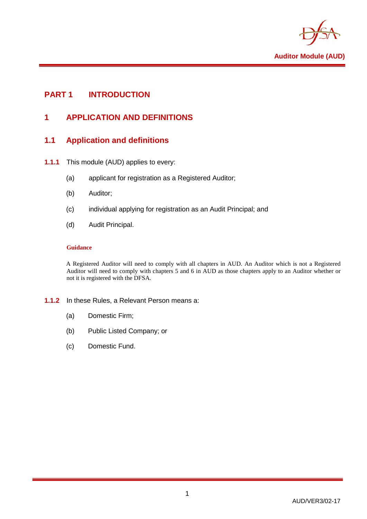

## <span id="page-3-1"></span><span id="page-3-0"></span>**PART 1 INTRODUCTION**

## **1 APPLICATION AND DEFINITIONS**

## <span id="page-3-2"></span>**1.1 Application and definitions**

- **1.1.1** This module (AUD) applies to every:
	- (a) applicant for registration as a Registered Auditor;
	- (b) Auditor;
	- (c) individual applying for registration as an Audit Principal; and
	- (d) Audit Principal.

#### **Guidance**

A Registered Auditor will need to comply with all chapters in AUD. An Auditor which is not a Registered Auditor will need to comply with chapters 5 and 6 in AUD as those chapters apply to an Auditor whether or not it is registered with the DFSA.

#### **1.1.2** In these Rules, a Relevant Person means a:

- (a) Domestic Firm;
- (b) Public Listed Company; or
- (c) Domestic Fund.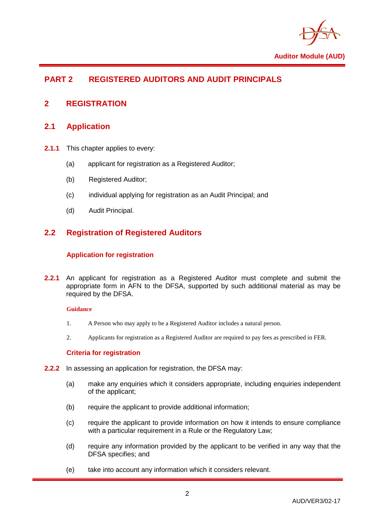

## <span id="page-4-0"></span>**PART 2 REGISTERED AUDITORS AND AUDIT PRINCIPALS**

## <span id="page-4-2"></span><span id="page-4-1"></span>**2 REGISTRATION**

## **2.1 Application**

- **2.1.1** This chapter applies to every:
	- (a) applicant for registration as a Registered Auditor;
	- (b) Registered Auditor;
	- (c) individual applying for registration as an Audit Principal; and
	- (d) Audit Principal.

## <span id="page-4-3"></span>**2.2 Registration of Registered Auditors**

#### **Application for registration**

**2.2.1** An applicant for registration as a Registered Auditor must complete and submit the appropriate form in AFN to the DFSA, supported by such additional material as may be required by the DFSA.

#### **Guidance**

- 1. A Person who may apply to be a Registered Auditor includes a natural person.
- 2. Applicants for registration as a Registered Auditor are required to pay fees as prescribed in FER.

#### **Criteria for registration**

- **2.2.2** In assessing an application for registration, the DFSA may:
	- (a) make any enquiries which it considers appropriate, including enquiries independent of the applicant;
	- (b) require the applicant to provide additional information;
	- (c) require the applicant to provide information on how it intends to ensure compliance with a particular requirement in a Rule or the Regulatory Law;
	- (d) require any information provided by the applicant to be verified in any way that the DFSA specifies; and
	- (e) take into account any information which it considers relevant.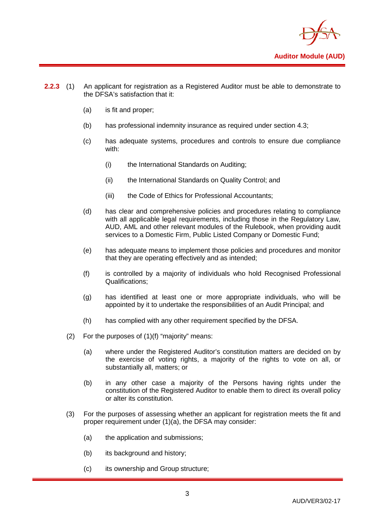

- **2.2.3** (1) An applicant for registration as a Registered Auditor must be able to demonstrate to the DFSA's satisfaction that it:
	- (a) is fit and proper;
	- (b) has professional indemnity insurance as required under section 4.3;
	- (c) has adequate systems, procedures and controls to ensure due compliance with:
		- (i) the International Standards on Auditing;
		- (ii) the International Standards on Quality Control; and
		- (iii) the Code of Ethics for Professional Accountants;
	- (d) has clear and comprehensive policies and procedures relating to compliance with all applicable legal requirements, including those in the Regulatory Law, AUD, AML and other relevant modules of the Rulebook, when providing audit services to a Domestic Firm, Public Listed Company or Domestic Fund;
	- (e) has adequate means to implement those policies and procedures and monitor that they are operating effectively and as intended;
	- (f) is controlled by a majority of individuals who hold Recognised Professional Qualifications;
	- (g) has identified at least one or more appropriate individuals, who will be appointed by it to undertake the responsibilities of an Audit Principal; and
	- (h) has complied with any other requirement specified by the DFSA.
	- (2) For the purposes of (1)(f) "majority" means:
		- (a) where under the Registered Auditor's constitution matters are decided on by the exercise of voting rights, a majority of the rights to vote on all, or substantially all, matters; or
		- (b) in any other case a majority of the Persons having rights under the constitution of the Registered Auditor to enable them to direct its overall policy or alter its constitution.
	- (3) For the purposes of assessing whether an applicant for registration meets the fit and proper requirement under (1)(a), the DFSA may consider:
		- (a) the application and submissions;
		- (b) its background and history;
		- (c) its ownership and Group structure;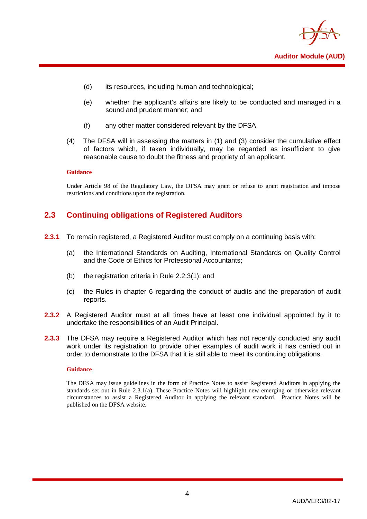

- (d) its resources, including human and technological;
- (e) whether the applicant's affairs are likely to be conducted and managed in a sound and prudent manner; and
- (f) any other matter considered relevant by the DFSA.
- (4) The DFSA will in assessing the matters in (1) and (3) consider the cumulative effect of factors which, if taken individually, may be regarded as insufficient to give reasonable cause to doubt the fitness and propriety of an applicant.

#### **Guidance**

Under Article 98 of the Regulatory Law, the DFSA may grant or refuse to grant registration and impose restrictions and conditions upon the registration.

## <span id="page-6-0"></span>**2.3 Continuing obligations of Registered Auditors**

- **2.3.1** To remain registered, a Registered Auditor must comply on a continuing basis with:
	- (a) the International Standards on Auditing, International Standards on Quality Control and the Code of Ethics for Professional Accountants;
	- (b) the registration criteria in Rule 2.2.3(1); and
	- (c) the Rules in chapter 6 regarding the conduct of audits and the preparation of audit reports.
- **2.3.2** A Registered Auditor must at all times have at least one individual appointed by it to undertake the responsibilities of an Audit Principal.
- **2.3.3** The DFSA may require a Registered Auditor which has not recently conducted any audit work under its registration to provide other examples of audit work it has carried out in order to demonstrate to the DFSA that it is still able to meet its continuing obligations.

#### **Guidance**

The DFSA may issue guidelines in the form of Practice Notes to assist Registered Auditors in applying the standards set out in Rule 2.3.1(a). These Practice Notes will highlight new emerging or otherwise relevant circumstances to assist a Registered Auditor in applying the relevant standard. Practice Notes will be published on the DFSA website.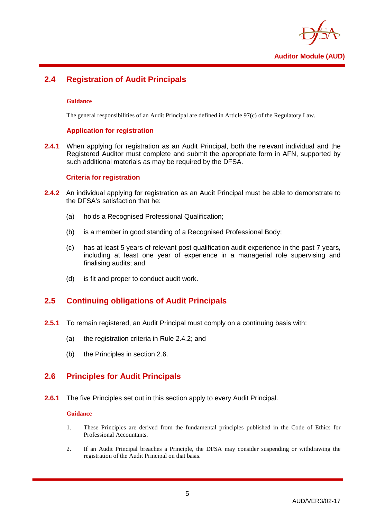

## <span id="page-7-0"></span>**2.4 Registration of Audit Principals**

#### **Guidance**

The general responsibilities of an Audit Principal are defined in Article 97(c) of the Regulatory Law.

#### **Application for registration**

**2.4.1** When applying for registration as an Audit Principal, both the relevant individual and the Registered Auditor must complete and submit the appropriate form in AFN, supported by such additional materials as may be required by the DFSA.

#### **Criteria for registration**

- **2.4.2** An individual applying for registration as an Audit Principal must be able to demonstrate to the DFSA's satisfaction that he:
	- (a) holds a Recognised Professional Qualification;
	- (b) is a member in good standing of a Recognised Professional Body;
	- (c) has at least 5 years of relevant post qualification audit experience in the past 7 years, including at least one year of experience in a managerial role supervising and finalising audits; and
	- (d) is fit and proper to conduct audit work.

## <span id="page-7-1"></span>**2.5 Continuing obligations of Audit Principals**

- **2.5.1** To remain registered, an Audit Principal must comply on a continuing basis with:
	- (a) the registration criteria in Rule 2.4.2; and
	- (b) the Principles in section 2.6.

## <span id="page-7-2"></span>**2.6 Principles for Audit Principals**

**2.6.1** The five Principles set out in this section apply to every Audit Principal.

#### **Guidance**

- 1. These Principles are derived from the fundamental principles published in the Code of Ethics for Professional Accountants.
- 2. If an Audit Principal breaches a Principle, the DFSA may consider suspending or withdrawing the registration of the Audit Principal on that basis.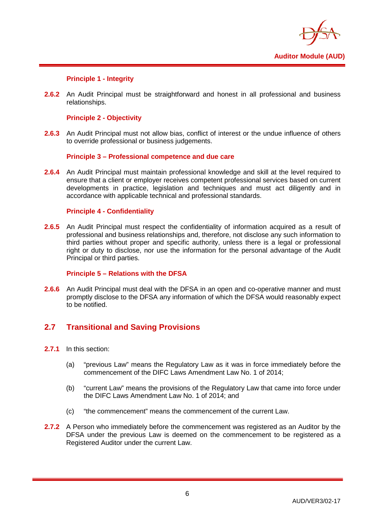

#### **Principle 1 - Integrity**

**2.6.2** An Audit Principal must be straightforward and honest in all professional and business relationships.

#### **Principle 2 - Objectivity**

**2.6.3** An Audit Principal must not allow bias, conflict of interest or the undue influence of others to override professional or business judgements.

#### **Principle 3 – Professional competence and due care**

**2.6.4** An Audit Principal must maintain professional knowledge and skill at the level required to ensure that a client or employer receives competent professional services based on current developments in practice, legislation and techniques and must act diligently and in accordance with applicable technical and professional standards.

#### **Principle 4 - Confidentiality**

**2.6.5** An Audit Principal must respect the confidentiality of information acquired as a result of professional and business relationships and, therefore, not disclose any such information to third parties without proper and specific authority, unless there is a legal or professional right or duty to disclose, nor use the information for the personal advantage of the Audit Principal or third parties.

#### **Principle 5 – Relations with the DFSA**

**2.6.6** An Audit Principal must deal with the DFSA in an open and co-operative manner and must promptly disclose to the DFSA any information of which the DFSA would reasonably expect to be notified.

## <span id="page-8-0"></span>**2.7 Transitional and Saving Provisions**

- **2.7.1** In this section:
	- (a) "previous Law" means the Regulatory Law as it was in force immediately before the commencement of the DIFC Laws Amendment Law No. 1 of 2014;
	- (b) "current Law" means the provisions of the Regulatory Law that came into force under the DIFC Laws Amendment Law No. 1 of 2014; and
	- (c) "the commencement" means the commencement of the current Law.
- **2.7.2** A Person who immediately before the commencement was registered as an Auditor by the DFSA under the previous Law is deemed on the commencement to be registered as a Registered Auditor under the current Law.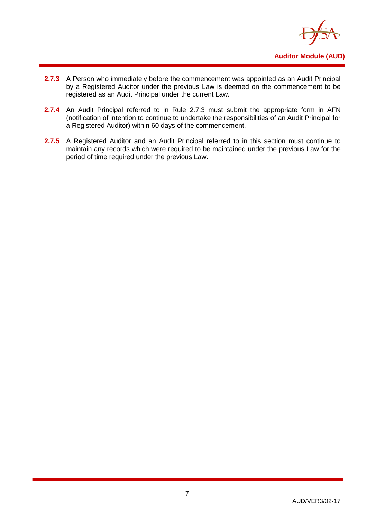

- **2.7.3** A Person who immediately before the commencement was appointed as an Audit Principal by a Registered Auditor under the previous Law is deemed on the commencement to be registered as an Audit Principal under the current Law.
- **2.7.4** An Audit Principal referred to in Rule 2.7.3 must submit the appropriate form in AFN (notification of intention to continue to undertake the responsibilities of an Audit Principal for a Registered Auditor) within 60 days of the commencement.
- 2.7.5 A Registered Auditor and an Audit Principal referred to in this section must continue to maintain any records which were required to be maintained under the previous Law for the period of time required under the previous Law.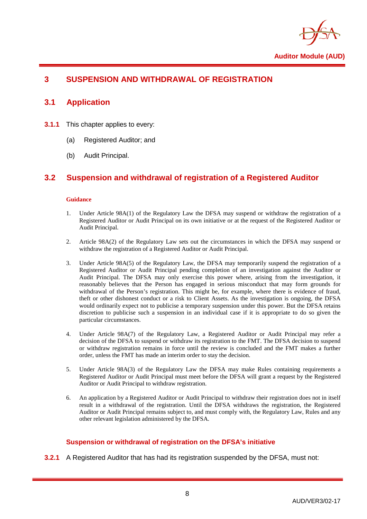

## <span id="page-10-1"></span><span id="page-10-0"></span>**3 SUSPENSION AND WITHDRAWAL OF REGISTRATION**

#### **3.1 Application**

- **3.1.1** This chapter applies to every:
	- (a) Registered Auditor; and
	- (b) Audit Principal.

## <span id="page-10-2"></span>**3.2 Suspension and withdrawal of registration of a Registered Auditor**

#### **Guidance**

- 1. Under Article 98A(1) of the Regulatory Law the DFSA may suspend or withdraw the registration of a Registered Auditor or Audit Principal on its own initiative or at the request of the Registered Auditor or Audit Principal.
- 2. Article 98A(2) of the Regulatory Law sets out the circumstances in which the DFSA may suspend or withdraw the registration of a Registered Auditor or Audit Principal.
- 3. Under Article 98A(5) of the Regulatory Law, the DFSA may temporarily suspend the registration of a Registered Auditor or Audit Principal pending completion of an investigation against the Auditor or Audit Principal. The DFSA may only exercise this power where, arising from the investigation, it reasonably believes that the Person has engaged in serious misconduct that may form grounds for withdrawal of the Person's registration. This might be, for example, where there is evidence of fraud, theft or other dishonest conduct or a risk to Client Assets. As the investigation is ongoing, the DFSA would ordinarily expect not to publicise a temporary suspension under this power. But the DFSA retains discretion to publicise such a suspension in an individual case if it is appropriate to do so given the particular circumstances.
- 4. Under Article 98A(7) of the Regulatory Law, a Registered Auditor or Audit Principal may refer a decision of the DFSA to suspend or withdraw its registration to the FMT. The DFSA decision to suspend or withdraw registration remains in force until the review is concluded and the FMT makes a further order, unless the FMT has made an interim order to stay the decision.
- 5. Under Article 98A(3) of the Regulatory Law the DFSA may make Rules containing requirements a Registered Auditor or Audit Principal must meet before the DFSA will grant a request by the Registered Auditor or Audit Principal to withdraw registration.
- 6. An application by a Registered Auditor or Audit Principal to withdraw their registration does not in itself result in a withdrawal of the registration. Until the DFSA withdraws the registration, the Registered Auditor or Audit Principal remains subject to, and must comply with, the Regulatory Law, Rules and any other relevant legislation administered by the DFSA.

#### **Suspension or withdrawal of registration on the DFSA's initiative**

**3.2.1** A Registered Auditor that has had its registration suspended by the DFSA, must not: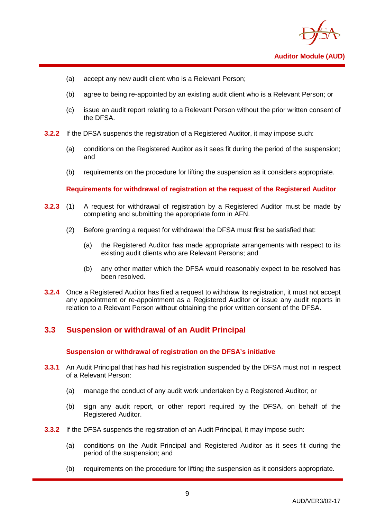

- (a) accept any new audit client who is a Relevant Person;
- (b) agree to being re-appointed by an existing audit client who is a Relevant Person; or
- (c) issue an audit report relating to a Relevant Person without the prior written consent of the DFSA.
- **3.2.2** If the DFSA suspends the registration of a Registered Auditor, it may impose such:
	- (a) conditions on the Registered Auditor as it sees fit during the period of the suspension; and
	- (b) requirements on the procedure for lifting the suspension as it considers appropriate.

#### **Requirements for withdrawal of registration at the request of the Registered Auditor**

- **3.2.3** (1) A request for withdrawal of registration by a Registered Auditor must be made by completing and submitting the appropriate form in AFN.
	- (2) Before granting a request for withdrawal the DFSA must first be satisfied that:
		- (a) the Registered Auditor has made appropriate arrangements with respect to its existing audit clients who are Relevant Persons; and
		- (b) any other matter which the DFSA would reasonably expect to be resolved has been resolved.
- **3.2.4** Once a Registered Auditor has filed a request to withdraw its registration, it must not accept any appointment or re-appointment as a Registered Auditor or issue any audit reports in relation to a Relevant Person without obtaining the prior written consent of the DFSA.

## <span id="page-11-0"></span>**3.3 Suspension or withdrawal of an Audit Principal**

#### **Suspension or withdrawal of registration on the DFSA's initiative**

- **3.3.1** An Audit Principal that has had his registration suspended by the DFSA must not in respect of a Relevant Person:
	- (a) manage the conduct of any audit work undertaken by a Registered Auditor; or
	- (b) sign any audit report, or other report required by the DFSA, on behalf of the Registered Auditor.
- **3.3.2** If the DFSA suspends the registration of an Audit Principal, it may impose such:
	- (a) conditions on the Audit Principal and Registered Auditor as it sees fit during the period of the suspension; and
	- (b) requirements on the procedure for lifting the suspension as it considers appropriate.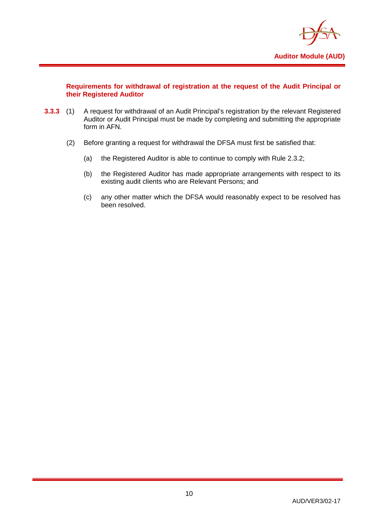

#### **Requirements for withdrawal of registration at the request of the Audit Principal or their Registered Auditor**

- **3.3.3** (1) A request for withdrawal of an Audit Principal's registration by the relevant Registered Auditor or Audit Principal must be made by completing and submitting the appropriate form in AFN.
	- (2) Before granting a request for withdrawal the DFSA must first be satisfied that:
		- (a) the Registered Auditor is able to continue to comply with Rule 2.3.2;
		- (b) the Registered Auditor has made appropriate arrangements with respect to its existing audit clients who are Relevant Persons; and
		- (c) any other matter which the DFSA would reasonably expect to be resolved has been resolved.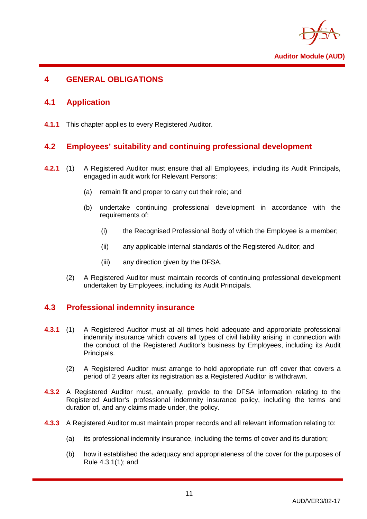

## <span id="page-13-1"></span><span id="page-13-0"></span>**4 GENERAL OBLIGATIONS**

## **4.1 Application**

<span id="page-13-2"></span>**4.1.1** This chapter applies to every Registered Auditor.

## **4.2 Employees' suitability and continuing professional development**

- **4.2.1** (1) A Registered Auditor must ensure that all Employees, including its Audit Principals, engaged in audit work for Relevant Persons:
	- (a) remain fit and proper to carry out their role; and
	- (b) undertake continuing professional development in accordance with the requirements of:
		- (i) the Recognised Professional Body of which the Employee is a member;
		- (ii) any applicable internal standards of the Registered Auditor; and
		- (iii) any direction given by the DFSA.
	- (2) A Registered Auditor must maintain records of continuing professional development undertaken by Employees, including its Audit Principals.

## <span id="page-13-3"></span>**4.3 Professional indemnity insurance**

- **4.3.1** (1) A Registered Auditor must at all times hold adequate and appropriate professional indemnity insurance which covers all types of civil liability arising in connection with the conduct of the Registered Auditor's business by Employees, including its Audit Principals.
	- (2) A Registered Auditor must arrange to hold appropriate run off cover that covers a period of 2 years after its registration as a Registered Auditor is withdrawn.
- **4.3.2** A Registered Auditor must, annually, provide to the DFSA information relating to the Registered Auditor's professional indemnity insurance policy, including the terms and duration of, and any claims made under, the policy.
- **4.3.3** A Registered Auditor must maintain proper records and all relevant information relating to:
	- (a) its professional indemnity insurance, including the terms of cover and its duration;
	- (b) how it established the adequacy and appropriateness of the cover for the purposes of Rule 4.3.1(1); and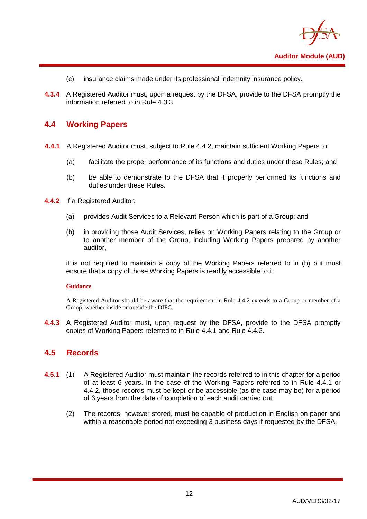

- (c) insurance claims made under its professional indemnity insurance policy.
- **4.3.4** A Registered Auditor must, upon a request by the DFSA, provide to the DFSA promptly the information referred to in Rule 4.3.3.

#### <span id="page-14-0"></span>**4.4 Working Papers**

- **4.4.1** A Registered Auditor must, subject to Rule 4.4.2, maintain sufficient Working Papers to:
	- (a) facilitate the proper performance of its functions and duties under these Rules; and
	- (b) be able to demonstrate to the DFSA that it properly performed its functions and duties under these Rules.
- **4.4.2** If a Registered Auditor:
	- (a) provides Audit Services to a Relevant Person which is part of a Group; and
	- (b) in providing those Audit Services, relies on Working Papers relating to the Group or to another member of the Group, including Working Papers prepared by another auditor,

it is not required to maintain a copy of the Working Papers referred to in (b) but must ensure that a copy of those Working Papers is readily accessible to it.

#### **Guidance**

A Registered Auditor should be aware that the requirement in Rule 4.4.2 extends to a Group or member of a Group, whether inside or outside the DIFC.

**4.4.3** A Registered Auditor must, upon request by the DFSA, provide to the DFSA promptly copies of Working Papers referred to in Rule 4.4.1 and Rule 4.4.2.

#### <span id="page-14-1"></span>**4.5 Records**

- **4.5.1** (1) A Registered Auditor must maintain the records referred to in this chapter for a period of at least 6 years. In the case of the Working Papers referred to in Rule 4.4.1 or 4.4.2, those records must be kept or be accessible (as the case may be) for a period of 6 years from the date of completion of each audit carried out.
	- (2) The records, however stored, must be capable of production in English on paper and within a reasonable period not exceeding 3 business days if requested by the DFSA.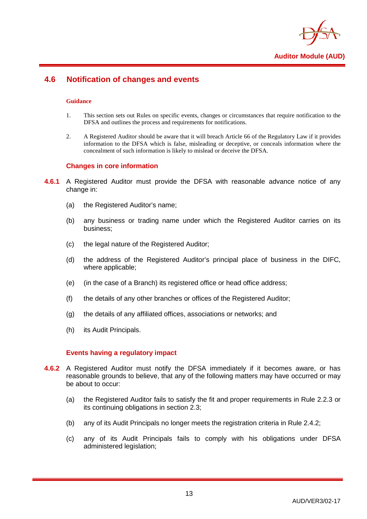

## <span id="page-15-0"></span>**4.6 Notification of changes and events**

#### **Guidance**

- 1. This section sets out Rules on specific events, changes or circumstances that require notification to the DFSA and outlines the process and requirements for notifications.
- 2. A Registered Auditor should be aware that it will breach Article 66 of the Regulatory Law if it provides information to the DFSA which is false, misleading or deceptive, or conceals information where the concealment of such information is likely to mislead or deceive the DFSA.

#### **Changes in core information**

- **4.6.1** A Registered Auditor must provide the DFSA with reasonable advance notice of any change in:
	- (a) the Registered Auditor's name;
	- (b) any business or trading name under which the Registered Auditor carries on its business;
	- (c) the legal nature of the Registered Auditor;
	- (d) the address of the Registered Auditor's principal place of business in the DIFC, where applicable;
	- (e) (in the case of a Branch) its registered office or head office address;
	- (f) the details of any other branches or offices of the Registered Auditor;
	- (g) the details of any affiliated offices, associations or networks; and
	- (h) its Audit Principals.

#### **Events having a regulatory impact**

- **4.6.2** A Registered Auditor must notify the DFSA immediately if it becomes aware, or has reasonable grounds to believe, that any of the following matters may have occurred or may be about to occur:
	- (a) the Registered Auditor fails to satisfy the fit and proper requirements in Rule 2.2.3 or its continuing obligations in section 2.3;
	- (b) any of its Audit Principals no longer meets the registration criteria in Rule 2.4.2;
	- (c) any of its Audit Principals fails to comply with his obligations under DFSA administered legislation;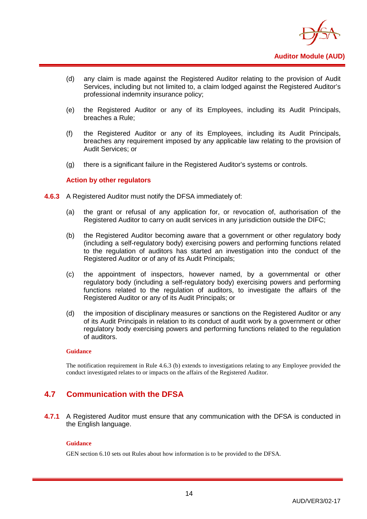

- (d) any claim is made against the Registered Auditor relating to the provision of Audit Services, including but not limited to, a claim lodged against the Registered Auditor's professional indemnity insurance policy;
- (e) the Registered Auditor or any of its Employees, including its Audit Principals, breaches a Rule;
- (f) the Registered Auditor or any of its Employees, including its Audit Principals, breaches any requirement imposed by any applicable law relating to the provision of Audit Services; or
- (g) there is a significant failure in the Registered Auditor's systems or controls.

#### **Action by other regulators**

- **4.6.3** A Registered Auditor must notify the DFSA immediately of:
	- (a) the grant or refusal of any application for, or revocation of, authorisation of the Registered Auditor to carry on audit services in any jurisdiction outside the DIFC;
	- (b) the Registered Auditor becoming aware that a government or other regulatory body (including a self-regulatory body) exercising powers and performing functions related to the regulation of auditors has started an investigation into the conduct of the Registered Auditor or of any of its Audit Principals;
	- (c) the appointment of inspectors, however named, by a governmental or other regulatory body (including a self-regulatory body) exercising powers and performing functions related to the regulation of auditors, to investigate the affairs of the Registered Auditor or any of its Audit Principals; or
	- (d) the imposition of disciplinary measures or sanctions on the Registered Auditor or any of its Audit Principals in relation to its conduct of audit work by a government or other regulatory body exercising powers and performing functions related to the regulation of auditors.

#### **Guidance**

The notification requirement in Rule 4.6.3 (b) extends to investigations relating to any Employee provided the conduct investigated relates to or impacts on the affairs of the Registered Auditor.

## <span id="page-16-0"></span>**4.7 Communication with the DFSA**

**4.7.1** A Registered Auditor must ensure that any communication with the DFSA is conducted in the English language.

#### **Guidance**

GEN section 6.10 sets out Rules about how information is to be provided to the DFSA.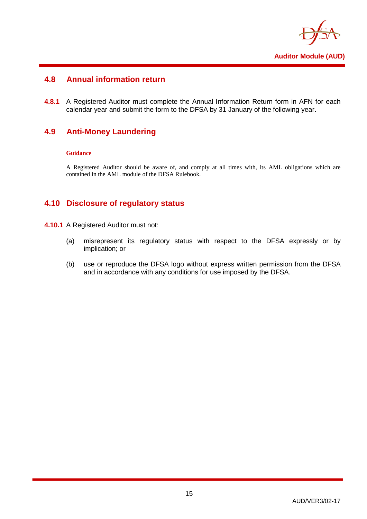

## <span id="page-17-0"></span>**4.8 Annual information return**

**4.8.1** A Registered Auditor must complete the Annual Information Return form in AFN for each calendar year and submit the form to the DFSA by 31 January of the following year.

## <span id="page-17-1"></span>**4.9 Anti-Money Laundering**

#### **Guidance**

A Registered Auditor should be aware of, and comply at all times with, its AML obligations which are contained in the AML module of the DFSA Rulebook.

## <span id="page-17-2"></span>**4.10 Disclosure of regulatory status**

- **4.10.1** A Registered Auditor must not:
	- (a) misrepresent its regulatory status with respect to the DFSA expressly or by implication; or
	- (b) use or reproduce the DFSA logo without express written permission from the DFSA and in accordance with any conditions for use imposed by the DFSA.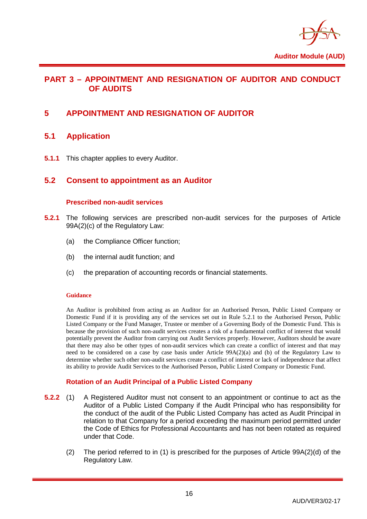

## <span id="page-18-0"></span>**PART 3 – APPOINTMENT AND RESIGNATION OF AUDITOR AND CONDUCT OF AUDITS**

## <span id="page-18-2"></span><span id="page-18-1"></span>**5 APPOINTMENT AND RESIGNATION OF AUDITOR**

## **5.1 Application**

<span id="page-18-3"></span>**5.1.1** This chapter applies to every Auditor.

#### **5.2 Consent to appointment as an Auditor**

#### **Prescribed non-audit services**

- **5.2.1** The following services are prescribed non-audit services for the purposes of Article 99A(2)(c) of the Regulatory Law:
	- (a) the Compliance Officer function;
	- (b) the internal audit function; and
	- (c) the preparation of accounting records or financial statements.

#### **Guidance**

An Auditor is prohibited from acting as an Auditor for an Authorised Person, Public Listed Company or Domestic Fund if it is providing any of the services set out in Rule 5.2.1 to the Authorised Person, Public Listed Company or the Fund Manager, Trustee or member of a Governing Body of the Domestic Fund. This is because the provision of such non-audit services creates a risk of a fundamental conflict of interest that would potentially prevent the Auditor from carrying out Audit Services properly. However, Auditors should be aware that there may also be other types of non-audit services which can create a conflict of interest and that may need to be considered on a case by case basis under Article 99A(2)(a) and (b) of the Regulatory Law to determine whether such other non-audit services create a conflict of interest or lack of independence that affect its ability to provide Audit Services to the Authorised Person, Public Listed Company or Domestic Fund.

#### **Rotation of an Audit Principal of a Public Listed Company**

- **5.2.2** (1) A Registered Auditor must not consent to an appointment or continue to act as the Auditor of a Public Listed Company if the Audit Principal who has responsibility for the conduct of the audit of the Public Listed Company has acted as Audit Principal in relation to that Company for a period exceeding the maximum period permitted under the Code of Ethics for Professional Accountants and has not been rotated as required under that Code.
	- (2) The period referred to in (1) is prescribed for the purposes of Article 99A(2)(d) of the Regulatory Law.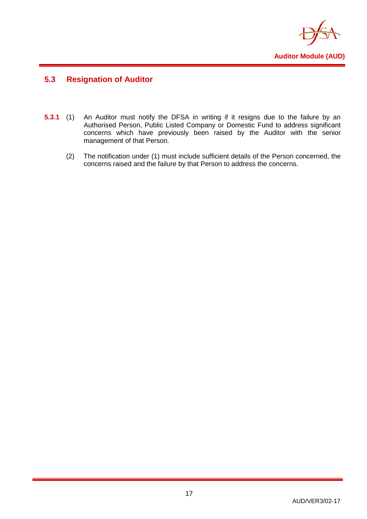

## <span id="page-19-0"></span>**5.3 Resignation of Auditor**

- **5.3.1** (1) An Auditor must notify the DFSA in writing if it resigns due to the failure by an Authorised Person, Public Listed Company or Domestic Fund to address significant concerns which have previously been raised by the Auditor with the senior management of that Person.
	- (2) The notification under (1) must include sufficient details of the Person concerned, the concerns raised and the failure by that Person to address the concerns.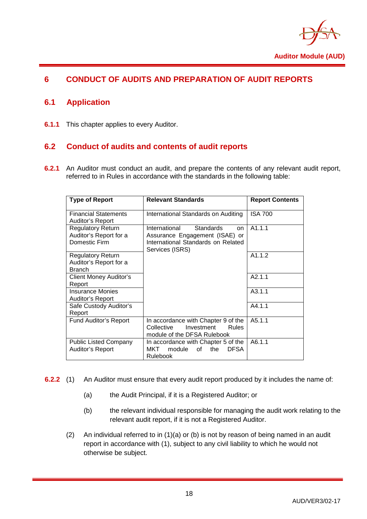

## <span id="page-20-1"></span><span id="page-20-0"></span>**6 CONDUCT OF AUDITS AND PREPARATION OF AUDIT REPORTS**

## **6.1 Application**

<span id="page-20-2"></span>**6.1.1** This chapter applies to every Auditor.

## **6.2 Conduct of audits and contents of audit reports**

**6.2.1** An Auditor must conduct an audit, and prepare the contents of any relevant audit report, referred to in Rules in accordance with the standards in the following table:

| <b>Type of Report</b>                                               | <b>Relevant Standards</b>                                                                                                           | <b>Report Contents</b> |
|---------------------------------------------------------------------|-------------------------------------------------------------------------------------------------------------------------------------|------------------------|
| <b>Financial Statements</b><br>Auditor's Report                     | International Standards on Auditing                                                                                                 | <b>ISA 700</b>         |
| <b>Regulatory Return</b><br>Auditor's Report for a<br>Domestic Firm | International<br><b>Standards</b><br>on.<br>Assurance Engagement (ISAE) or<br>International Standards on Related<br>Services (ISRS) | A1.1.1                 |
| Regulatory Return<br>Auditor's Report for a<br><b>Branch</b>        |                                                                                                                                     | A1.1.2                 |
| Client Money Auditor's<br>Report                                    |                                                                                                                                     | A2.1.1                 |
| <b>Insurance Monies</b><br><b>Auditor's Report</b>                  |                                                                                                                                     | A3.1.1                 |
| Safe Custody Auditor's<br>Report                                    |                                                                                                                                     | A4.1.1                 |
| <b>Fund Auditor's Report</b>                                        | In accordance with Chapter 9 of the<br>Investment<br>Collective<br><b>Rules</b><br>module of the DFSA Rulebook                      | A5.1.1                 |
| <b>Public Listed Company</b><br><b>Auditor's Report</b>             | In accordance with Chapter 5 of the<br>module<br>the<br><b>DFSA</b><br>MKT<br>of<br>Rulebook                                        | A6.1.1                 |

- **6.2.2** (1) An Auditor must ensure that every audit report produced by it includes the name of:
	- (a) the Audit Principal, if it is a Registered Auditor; or
	- (b) the relevant individual responsible for managing the audit work relating to the relevant audit report, if it is not a Registered Auditor.
	- (2) An individual referred to in (1)(a) or (b) is not by reason of being named in an audit report in accordance with (1), subject to any civil liability to which he would not otherwise be subject.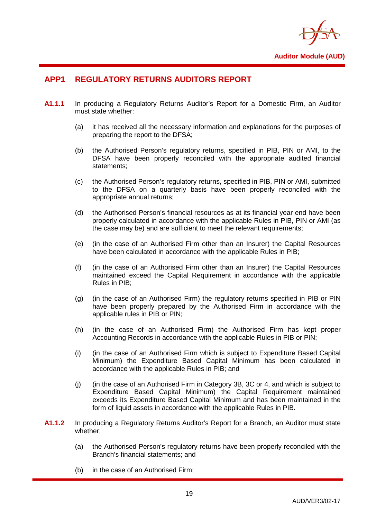

## <span id="page-21-0"></span>**APP1 REGULATORY RETURNS AUDITORS REPORT**

- **A1.1.1** In producing a Regulatory Returns Auditor's Report for a Domestic Firm, an Auditor must state whether:
	- (a) it has received all the necessary information and explanations for the purposes of preparing the report to the DFSA;
	- (b) the Authorised Person's regulatory returns, specified in PIB, PIN or AMI, to the DFSA have been properly reconciled with the appropriate audited financial statements;
	- (c) the Authorised Person's regulatory returns, specified in PIB, PIN or AMI, submitted to the DFSA on a quarterly basis have been properly reconciled with the appropriate annual returns;
	- (d) the Authorised Person's financial resources as at its financial year end have been properly calculated in accordance with the applicable Rules in PIB, PIN or AMI (as the case may be) and are sufficient to meet the relevant requirements;
	- (e) (in the case of an Authorised Firm other than an Insurer) the Capital Resources have been calculated in accordance with the applicable Rules in PIB;
	- (f) (in the case of an Authorised Firm other than an Insurer) the Capital Resources maintained exceed the Capital Requirement in accordance with the applicable Rules in PIB;
	- (g) (in the case of an Authorised Firm) the regulatory returns specified in PIB or PIN have been properly prepared by the Authorised Firm in accordance with the applicable rules in PIB or PIN;
	- (h) (in the case of an Authorised Firm) the Authorised Firm has kept proper Accounting Records in accordance with the applicable Rules in PIB or PIN;
	- (i) (in the case of an Authorised Firm which is subject to Expenditure Based Capital Minimum) the Expenditure Based Capital Minimum has been calculated in accordance with the applicable Rules in PIB; and
	- (j) (in the case of an Authorised Firm in Category 3B, 3C or 4, and which is subject to Expenditure Based Capital Minimum) the Capital Requirement maintained exceeds its Expenditure Based Capital Minimum and has been maintained in the form of liquid assets in accordance with the applicable Rules in PIB.
- **A1.1.2** In producing a Regulatory Returns Auditor's Report for a Branch, an Auditor must state whether;
	- (a) the Authorised Person's regulatory returns have been properly reconciled with the Branch's financial statements; and
	- (b) in the case of an Authorised Firm;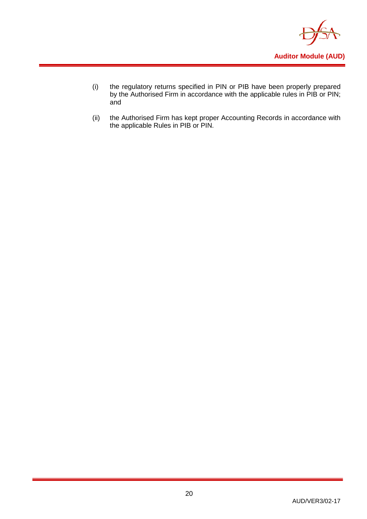

- (i) the regulatory returns specified in PIN or PIB have been properly prepared by the Authorised Firm in accordance with the applicable rules in PIB or PIN; and
- (ii) the Authorised Firm has kept proper Accounting Records in accordance with the applicable Rules in PIB or PIN.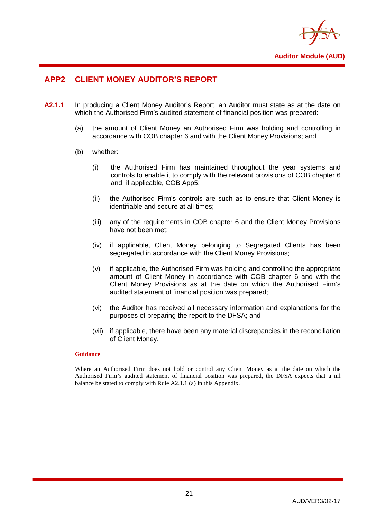

## <span id="page-23-0"></span>**APP2 CLIENT MONEY AUDITOR'S REPORT**

- **A2.1.1** In producing a Client Money Auditor's Report, an Auditor must state as at the date on which the Authorised Firm's audited statement of financial position was prepared:
	- (a) the amount of Client Money an Authorised Firm was holding and controlling in accordance with COB chapter 6 and with the Client Money Provisions; and
	- (b) whether:
		- (i) the Authorised Firm has maintained throughout the year systems and controls to enable it to comply with the relevant provisions of COB chapter 6 and, if applicable, COB App5;
		- (ii) the Authorised Firm's controls are such as to ensure that Client Money is identifiable and secure at all times;
		- (iii) any of the requirements in COB chapter 6 and the Client Money Provisions have not been met;
		- (iv) if applicable, Client Money belonging to Segregated Clients has been segregated in accordance with the Client Money Provisions;
		- (v) if applicable, the Authorised Firm was holding and controlling the appropriate amount of Client Money in accordance with COB chapter 6 and with the Client Money Provisions as at the date on which the Authorised Firm's audited statement of financial position was prepared;
		- (vi) the Auditor has received all necessary information and explanations for the purposes of preparing the report to the DFSA; and
		- (vii) if applicable, there have been any material discrepancies in the reconciliation of Client Money.

#### **Guidance**

Where an Authorised Firm does not hold or control any Client Money as at the date on which the Authorised Firm's audited statement of financial position was prepared, the DFSA expects that a nil balance be stated to comply with Rule A2.1.1 (a) in this Appendix.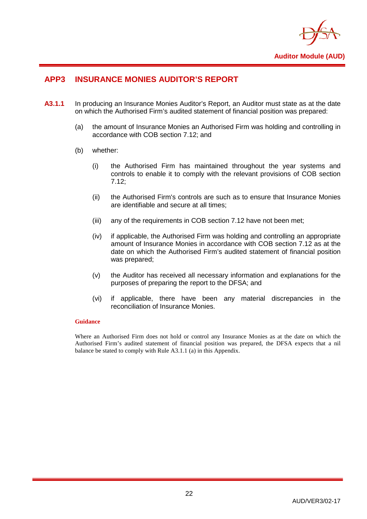

## <span id="page-24-0"></span>**APP3 INSURANCE MONIES AUDITOR'S REPORT**

- **A3.1.1** In producing an Insurance Monies Auditor's Report, an Auditor must state as at the date on which the Authorised Firm's audited statement of financial position was prepared:
	- (a) the amount of Insurance Monies an Authorised Firm was holding and controlling in accordance with COB section 7.12; and
	- (b) whether:
		- (i) the Authorised Firm has maintained throughout the year systems and controls to enable it to comply with the relevant provisions of COB section 7.12;
		- (ii) the Authorised Firm's controls are such as to ensure that Insurance Monies are identifiable and secure at all times;
		- (iii) any of the requirements in COB section 7.12 have not been met;
		- (iv) if applicable, the Authorised Firm was holding and controlling an appropriate amount of Insurance Monies in accordance with COB section 7.12 as at the date on which the Authorised Firm's audited statement of financial position was prepared;
		- (v) the Auditor has received all necessary information and explanations for the purposes of preparing the report to the DFSA; and
		- (vi) if applicable, there have been any material discrepancies in the reconciliation of Insurance Monies.

#### **Guidance**

Where an Authorised Firm does not hold or control any Insurance Monies as at the date on which the Authorised Firm's audited statement of financial position was prepared, the DFSA expects that a nil balance be stated to comply with Rule A3.1.1 (a) in this Appendix.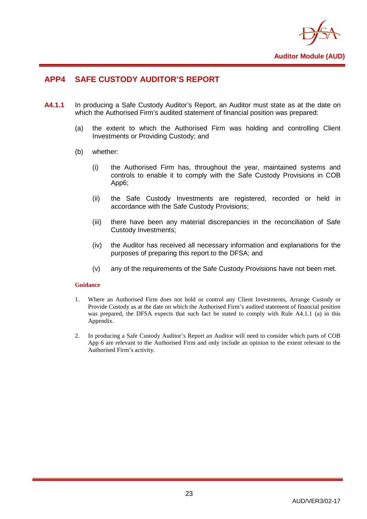

## <span id="page-25-0"></span>**APP4 SAFE CUSTODY AUDITOR'S REPORT**

- **A4.1.1** In producing a Safe Custody Auditor's Report, an Auditor must state as at the date on which the Authorised Firm's audited statement of financial position was prepared:
	- (a) the extent to which the Authorised Firm was holding and controlling Client Investments or Providing Custody; and
	- (b) whether:
		- (i) the Authorised Firm has, throughout the year, maintained systems and controls to enable it to comply with the Safe Custody Provisions in COB App6;
		- (ii) the Safe Custody Investments are registered, recorded or held in accordance with the Safe Custody Provisions;
		- (iii) there have been any material discrepancies in the reconciliation of Safe Custody Investments;
		- (iv) the Auditor has received all necessary information and explanations for the purposes of preparing this report to the DFSA; and
		- (v) any of the requirements of the Safe Custody Provisions have not been met.

#### **Guidance**

- 1. Where an Authorised Firm does not hold or control any Client Investments, Arrange Custody or Provide Custody as at the date on which the Authorised Firm's audited statement of financial position was prepared, the DFSA expects that such fact be stated to comply with Rule A4.1.1 (a) in this Appendix.
- 2. In producing a Safe Custody Auditor's Report an Auditor will need to consider which parts of COB App 6 are relevant to the Authorised Firm and only include an opinion to the extent relevant to the Authorised Firm's activity.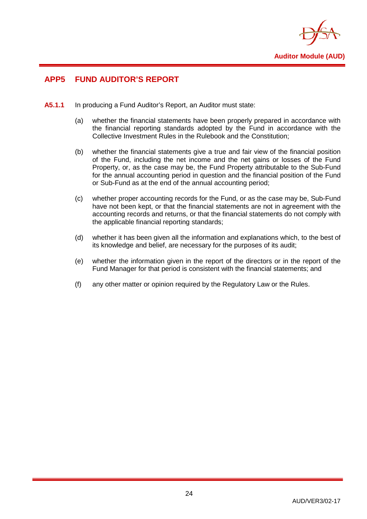

## <span id="page-26-0"></span>**APP5 FUND AUDITOR'S REPORT**

- **A5.1.1** In producing a Fund Auditor's Report, an Auditor must state:
	- (a) whether the financial statements have been properly prepared in accordance with the financial reporting standards adopted by the Fund in accordance with the Collective Investment Rules in the Rulebook and the Constitution;
	- (b) whether the financial statements give a true and fair view of the financial position of the Fund, including the net income and the net gains or losses of the Fund Property, or, as the case may be, the Fund Property attributable to the Sub-Fund for the annual accounting period in question and the financial position of the Fund or Sub-Fund as at the end of the annual accounting period;
	- (c) whether proper accounting records for the Fund, or as the case may be, Sub-Fund have not been kept, or that the financial statements are not in agreement with the accounting records and returns, or that the financial statements do not comply with the applicable financial reporting standards;
	- (d) whether it has been given all the information and explanations which, to the best of its knowledge and belief, are necessary for the purposes of its audit;
	- (e) whether the information given in the report of the directors or in the report of the Fund Manager for that period is consistent with the financial statements; and
	- (f) any other matter or opinion required by the Regulatory Law or the Rules.